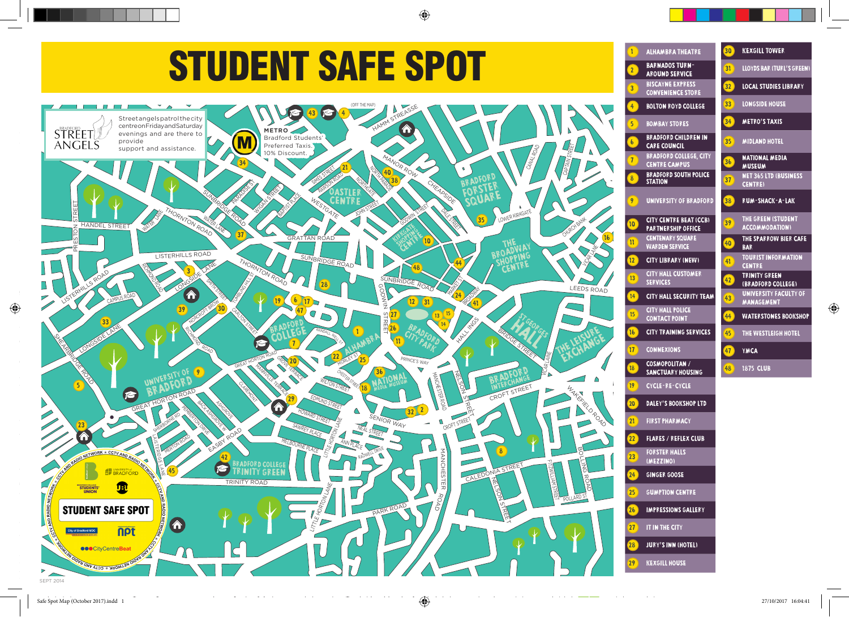



◈

◈

 $\bigoplus$